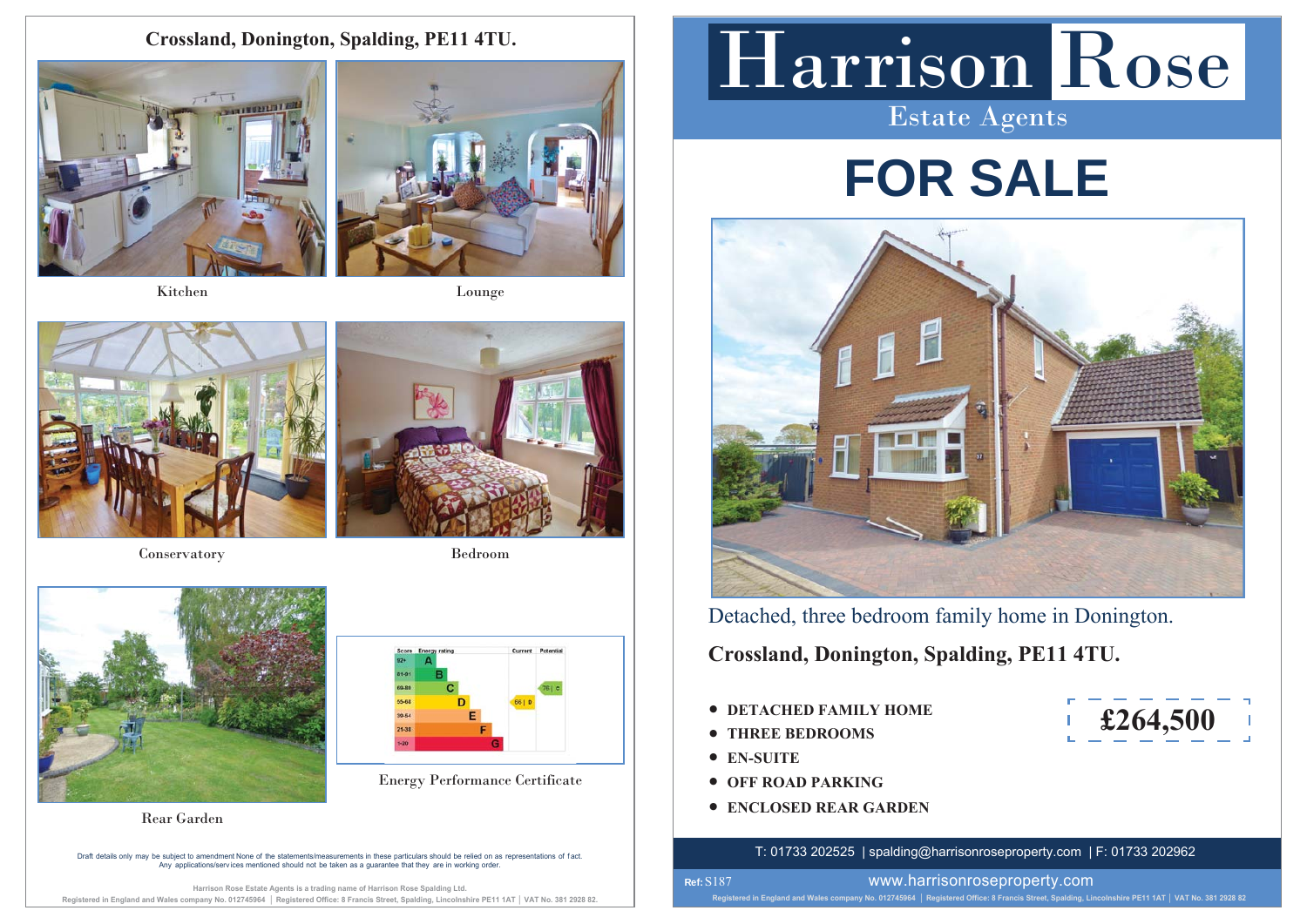**Crossland, Donington, Spalding, PE11 4TU.**



Kitchen



Lounge



Conservatory Bedroom



Energy Performance Certificate



Draft details only may be subiect to amendment None of the statements/measurements in these particulars should be relied on as representations of fact. A DURING AND DISSOLVITION CONSIDERED IN THE CONSIDERATION OF DETAILS AND A DISPONSIBLE STATES OF LIGHT DUPLAR<br>Any applications/services mentioned should not be taken as a quarantee that they are in working order

Harrison Rose Estate Agents is a trading name of Harrison Rose Spalding Ltd. Registered in England and Wales company No. 012745964 | Registered Office: 8 Francis Street, Spalding, Lincolnshire PE11 1AT | VAT No. 381 2928 82

# Harrison Rose

Estate Agents

## **FOR SALE**



Detached, three bedroom family home in Donington.

**Crossland, Donington, Spalding, PE11 4TU.**

- **DETACHED FAMILY HOME**
- **THREE BEDROOMS**
- **EN-SUITE**

**Ref:**  S187

- $\bullet$
- **ENCLOSED REAR GARDEN**

T: 01733 202525 | spalding@harrisonroseproperty.com | F: 01733 202962

Registered in England and Wales company No. 012745964 | Registered Office: 8 Francis Street, Spalding, Lincolnshire PE11 1AT | VAT No. 381 2928 82

**£264,500**